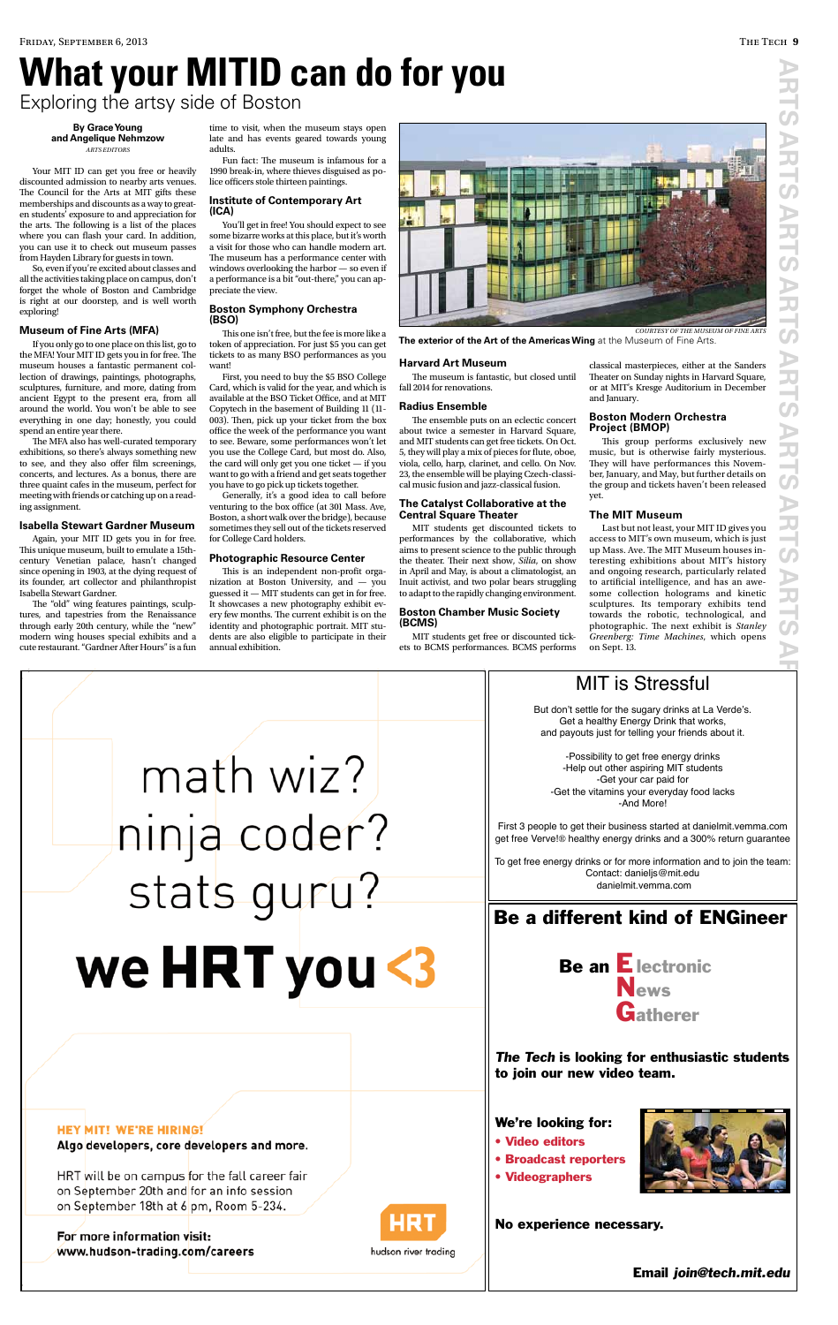#### **By Grace Young and Angelique Nehmzow** *ARTS EDITORS*

Your MIT ID can get you free or heavily discounted admission to nearby arts venues. The Council for the Arts at MIT gifts these memberships and discounts as a way to greaten students' exposure to and appreciation for the arts. The following is a list of the places where you can fash your card. In addition, you can use it to check out museum passes from Hayden Library for guests in town.

So, even if you're excited about classes and all the activities taking place on campus, don't forget the whole of Boston and Cambridge is right at our doorstep, and is well worth exploring!

The MFA also has well-curated temporary exhibitions, so there's always something new to see, and they also ofer flm screenings, concerts, and lectures. As a bonus, there are three quaint cafes in the museum, perfect for meeting with friends or catching up on a reading assignment.

### **Museum of Fine Arts (MFA)**

The "old" wing features paintings, sculptures, and tapestries from the Renaissance through early 20th century, while the "new" modern wing houses special exhibits and a cute restaurant. "Gardner After Hours" is a fun

If you only go to one place on this list, go to the MFA! Your MIT ID gets you in for free. The museum houses a fantastic permanent collection of drawings, paintings, photographs, sculptures, furniture, and more, dating from ancient Egypt to the present era, from all around the world. You won't be able to see everything in one day; honestly, you could spend an entire year there.

This one isn't free, but the fee is more like a token of appreciation. For just \$5 you can get tickets to as many BSO performances as you want!

### **Isabella Stewart Gardner Museum**

Again, your MIT ID gets you in for free. This unique museum, built to emulate a 15thcentury Venetian palace, hasn't changed since opening in 1903, at the dying request of its founder, art collector and philanthropist Isabella Stewart Gardner.

This is an independent non-profit organization at Boston University, and — you guessed it — MIT students can get in for free. It showcases a new photography exhibit every few months. The current exhibit is on the identity and photographic portrait. MIT students are also eligible to participate in their annual exhibition.

The museum is fantastic, but closed until fall 2014 for renovations.

time to visit, when the museum stays open late and has events geared towards young adults.

Fun fact: The museum is infamous for a 1990 break-in, where thieves disguised as police officers stole thirteen paintings.

> The ensemble puts on an eclectic concert about twice a semester in Harvard Square, and MIT students can get free tickets. On Oct. 5, they will play a mix of pieces for fute, oboe, viola, cello, harp, clarinet, and cello. On Nov. 23, the ensemble will be playing Czech-classical music fusion and jazz-classical fusion.

### **Institute of Contemporary Art (ICA)**

You'll get in free! You should expect to see some bizarre works at this place, but it's worth a visit for those who can handle modern art. The museum has a performance center with windows overlooking the harbor — so even if a performance is a bit "out-there," you can appreciate the view.

### **Boston Symphony Orchestra (BSO)**

This group performs exclusively new music, but is otherwise fairly mysterious. They will have performances this November, January, and May, but further details on the group and tickets haven't been released yet.

First, you need to buy the \$5 BSO College Card, which is valid for the year, and which is available at the BSO Ticket Office, and at MIT Copytech in the basement of Building 11 (11- 003). Then, pick up your ticket from the box office the week of the performance you want to see. Beware, some performances won't let you use the College Card, but most do. Also, the card will only get you one ticket — if you want to go with a friend and get seats together you have to go pick up tickets together.

**S** Email join@tech.mit.edu

### **HEY MIT! WE'RE HIRING!** Algo developers, core developers and more.

HRT will be on campus for the fall career fair on September 20th and for an info session on September 18th at 6 pm, Room 5-234.

Generally, it's a good idea to call before venturing to the box office (at 301 Mass. Ave, Boston, a short walk over the bridge), because sometimes they sell out of the tickets reserved for College Card holders.

For more information visit: www.hudson-trading.com/careers



hudson river tradina

### **Photographic Resource Center**

### **Harvard Art Museum**

#### **Radius Ensemble**

### **The Catalyst Collaborative at the Central Square Theater**

MIT students get discounted tickets to performances by the collaborative, which aims to present science to the public through the theater. Their next show, *Silia*, on show in April and May, is about a climatologist, an Inuit activist, and two polar bears struggling to adapt to the rapidly changing environment.

### **Boston Chamber Music Society (BCMS)**

MIT students get free or discounted tickets to BCMS performances. BCMS performs classical masterpieces, either at the Sanders Theater on Sunday nights in Harvard Square, or at MIT's Kresge Auditorium in December and January.

### **Boston Modern Orchestra Project (BMOP)**

### **The MIT Museum**

Last but not least, your MIT ID gives you access to MIT's own museum, which is just up Mass. Ave. The MIT Museum houses interesting exhibitions about MIT's history and ongoing research, particularly related to artifcial intelligence, and has an awesome collection holograms and kinetic sculptures. Its temporary exhibits tend towards the robotic, technological, and photographic. The next exhibit is *Stanley Greenberg: Time Machines*, which opens on Sept. 13.



**The exterior of the Art of the Americas Wing** at the Museum of Fine Arts.

# **What your MITID can do for you** Exploring the artsy side of Boston



First 3 people to get their business started at danielmit.vemma.com get free Verve!® healthy energy drinks and a 300% return guarantee

To get free energy drinks or for more information and to join the team: Contact: danieljs@mit.edu danielmit.vemma.com

## Be a different kind of ENGineer

# Be an Electronic

# IMA I T VOILK

math wiz?

ninja coder?<br>stats guru?



### The Tech is looking for enthusiastic students to join our new video team.

### No experience necessary.

### We're looking for:

- Video editors
- **Broadcast reporters**
- Videographers